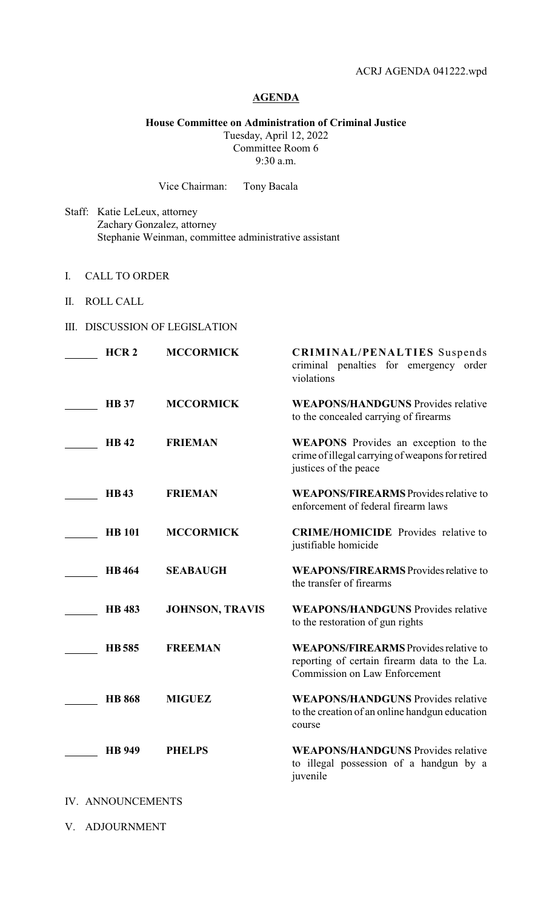## **AGENDA**

**House Committee on Administration of Criminal Justice**

Tuesday, April 12, 2022 Committee Room 6 9:30 a.m.

Vice Chairman: Tony Bacala

- Staff: Katie LeLeux, attorney Zachary Gonzalez, attorney Stephanie Weinman, committee administrative assistant
- I. CALL TO ORDER
- II. ROLL CALL
- III. DISCUSSION OF LEGISLATION

| HCR <sub>2</sub> | <b>MCCORMICK</b>       | <b>CRIMINAL/PENALTIES</b> Suspends<br>criminal penalties for emergency order<br>violations                                           |
|------------------|------------------------|--------------------------------------------------------------------------------------------------------------------------------------|
| <b>HB</b> 37     | <b>MCCORMICK</b>       | <b>WEAPONS/HANDGUNS</b> Provides relative<br>to the concealed carrying of firearms                                                   |
| <b>HB42</b>      | <b>FRIEMAN</b>         | <b>WEAPONS</b> Provides an exception to the<br>crime of illegal carrying of weapons for retired<br>justices of the peace             |
| <b>HB43</b>      | <b>FRIEMAN</b>         | <b>WEAPONS/FIREARMS</b> Provides relative to<br>enforcement of federal firearm laws                                                  |
| <b>HB</b> 101    | <b>MCCORMICK</b>       | <b>CRIME/HOMICIDE</b> Provides relative to<br>justifiable homicide                                                                   |
| <b>HB464</b>     | <b>SEABAUGH</b>        | <b>WEAPONS/FIREARMS</b> Provides relative to<br>the transfer of firearms                                                             |
| <b>HB</b> 483    | <b>JOHNSON, TRAVIS</b> | <b>WEAPONS/HANDGUNS</b> Provides relative<br>to the restoration of gun rights                                                        |
| <b>HB585</b>     | <b>FREEMAN</b>         | <b>WEAPONS/FIREARMS</b> Provides relative to<br>reporting of certain firearm data to the La.<br><b>Commission on Law Enforcement</b> |
| <b>HB</b> 868    | <b>MIGUEZ</b>          | <b>WEAPONS/HANDGUNS</b> Provides relative<br>to the creation of an online handgun education<br>course                                |
| <b>HB</b> 949    | <b>PHELPS</b>          | <b>WEAPONS/HANDGUNS</b> Provides relative<br>to illegal possession of a handgun by a<br>juvenile                                     |

- IV. ANNOUNCEMENTS
- V. ADJOURNMENT